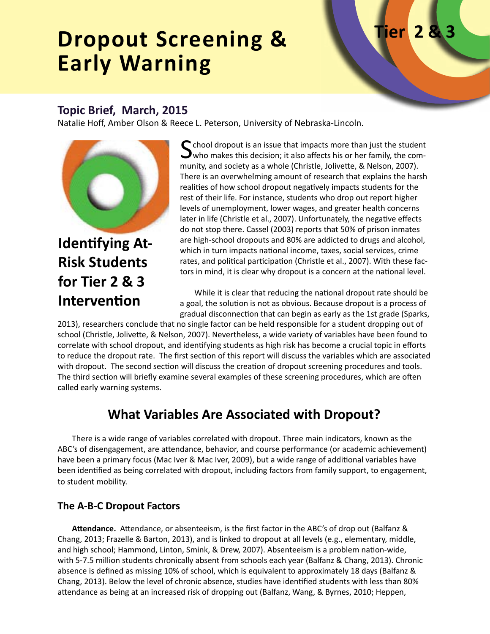# **Dropout Screening & Early Warning**

# **Tier**

### **Topic Brief, March, 2015**

Natalie Hoff, Amber Olson & Reece L. Peterson, University of Nebraska-Lincoln.



**Identifying At-Risk Students for Tier 2 & 3 Intervention**

 $\bigcap$  chool dropout is an issue that impacts more than just the student  $\rightarrow$  who makes this decision; it also affects his or her family, the community, and society as a whole (Christle, Jolivette, & Nelson, 2007). There is an overwhelming amount of research that explains the harsh realities of how school dropout negatively impacts students for the rest of their life. For instance, students who drop out report higher levels of unemployment, lower wages, and greater health concerns later in life (Christle et al., 2007). Unfortunately, the negative effects do not stop there. Cassel (2003) reports that 50% of prison inmates are high-school dropouts and 80% are addicted to drugs and alcohol, which in turn impacts national income, taxes, social services, crime rates, and political participation (Christle et al., 2007). With these factors in mind, it is clear why dropout is a concern at the national level.

While it is clear that reducing the national dropout rate should be a goal, the solution is not as obvious. Because dropout is a process of gradual disconnection that can begin as early as the 1st grade (Sparks,

2013), researchers conclude that no single factor can be held responsible for a student dropping out of school (Christle, Jolivette, & Nelson, 2007). Nevertheless, a wide variety of variables have been found to correlate with school dropout, and identifying students as high risk has become a crucial topic in efforts to reduce the dropout rate. The first section of this report will discuss the variables which are associated with dropout. The second section will discuss the creation of dropout screening procedures and tools. The third section will briefly examine several examples of these screening procedures, which are often called early warning systems.

### **What Variables Are Associated with Dropout?**

There is a wide range of variables correlated with dropout. Three main indicators, known as the ABC's of disengagement, are attendance, behavior, and course performance (or academic achievement) have been a primary focus (Mac Iver & Mac Iver, 2009), but a wide range of additional variables have been identified as being correlated with dropout, including factors from family support, to engagement, to student mobility.

### **The A-B-C Dropout Factors**

**Attendance.** Attendance, or absenteeism, is the first factor in the ABC's of drop out (Balfanz & Chang, 2013; Frazelle & Barton, 2013), and is linked to dropout at all levels (e.g., elementary, middle, and high school; Hammond, Linton, Smink, & Drew, 2007). Absenteeism is a problem nation-wide, with 5-7.5 million students chronically absent from schools each year (Balfanz & Chang, 2013). Chronic absence is defined as missing 10% of school, which is equivalent to approximately 18 days (Balfanz & Chang, 2013). Below the level of chronic absence, studies have identified students with less than 80% attendance as being at an increased risk of dropping out (Balfanz, Wang, & Byrnes, 2010; Heppen,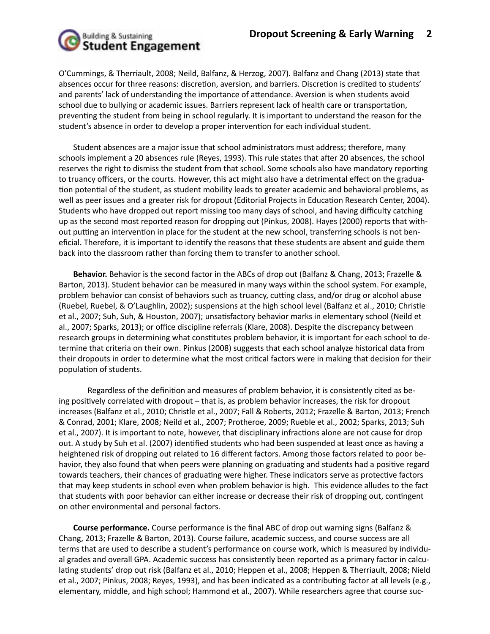

O'Cummings, & Therriault, 2008; Neild, Balfanz, & Herzog, 2007). Balfanz and Chang (2013) state that absences occur for three reasons: discretion, aversion, and barriers. Discretion is credited to students' and parents' lack of understanding the importance of attendance. Aversion is when students avoid school due to bullying or academic issues. Barriers represent lack of health care or transportation, preventing the student from being in school regularly. It is important to understand the reason for the student's absence in order to develop a proper intervention for each individual student.

Student absences are a major issue that school administrators must address; therefore, many schools implement a 20 absences rule (Reyes, 1993). This rule states that after 20 absences, the school reserves the right to dismiss the student from that school. Some schools also have mandatory reporting to truancy officers, or the courts. However, this act might also have a detrimental effect on the graduation potential of the student, as student mobility leads to greater academic and behavioral problems, as well as peer issues and a greater risk for dropout (Editorial Projects in Education Research Center, 2004). Students who have dropped out report missing too many days of school, and having difficulty catching up as the second most reported reason for dropping out (Pinkus, 2008). Hayes (2000) reports that without putting an intervention in place for the student at the new school, transferring schools is not beneficial. Therefore, it is important to identify the reasons that these students are absent and guide them back into the classroom rather than forcing them to transfer to another school.

**Behavior.** Behavior is the second factor in the ABCs of drop out (Balfanz & Chang, 2013; Frazelle & Barton, 2013). Student behavior can be measured in many ways within the school system. For example, problem behavior can consist of behaviors such as truancy, cutting class, and/or drug or alcohol abuse (Ruebel, Ruebel, & O'Laughlin, 2002); suspensions at the high school level (Balfanz et al., 2010; Christle et al., 2007; Suh, Suh, & Houston, 2007); unsatisfactory behavior marks in elementary school (Neild et al., 2007; Sparks, 2013); or office discipline referrals (Klare, 2008). Despite the discrepancy between research groups in determining what constitutes problem behavior, it is important for each school to determine that criteria on their own. Pinkus (2008) suggests that each school analyze historical data from their dropouts in order to determine what the most critical factors were in making that decision for their population of students.

Regardless of the definition and measures of problem behavior, it is consistently cited as being positively correlated with dropout – that is, as problem behavior increases, the risk for dropout increases (Balfanz et al., 2010; Christle et al., 2007; Fall & Roberts, 2012; Frazelle & Barton, 2013; French & Conrad, 2001; Klare, 2008; Neild et al., 2007; Protheroe, 2009; Rueble et al., 2002; Sparks, 2013; Suh et al., 2007). It is important to note, however, that disciplinary infractions alone are not cause for drop out. A study by Suh et al. (2007) identified students who had been suspended at least once as having a heightened risk of dropping out related to 16 different factors. Among those factors related to poor behavior, they also found that when peers were planning on graduating and students had a positive regard towards teachers, their chances of graduating were higher. These indicators serve as protective factors that may keep students in school even when problem behavior is high. This evidence alludes to the fact that students with poor behavior can either increase or decrease their risk of dropping out, contingent on other environmental and personal factors.

**Course performance.** Course performance is the final ABC of drop out warning signs (Balfanz & Chang, 2013; Frazelle & Barton, 2013). Course failure, academic success, and course success are all terms that are used to describe a student's performance on course work, which is measured by individual grades and overall GPA. Academic success has consistently been reported as a primary factor in calculating students' drop out risk (Balfanz et al., 2010; Heppen et al., 2008; Heppen & Therriault, 2008; Nield et al., 2007; Pinkus, 2008; Reyes, 1993), and has been indicated as a contributing factor at all levels (e.g., elementary, middle, and high school; Hammond et al., 2007). While researchers agree that course suc-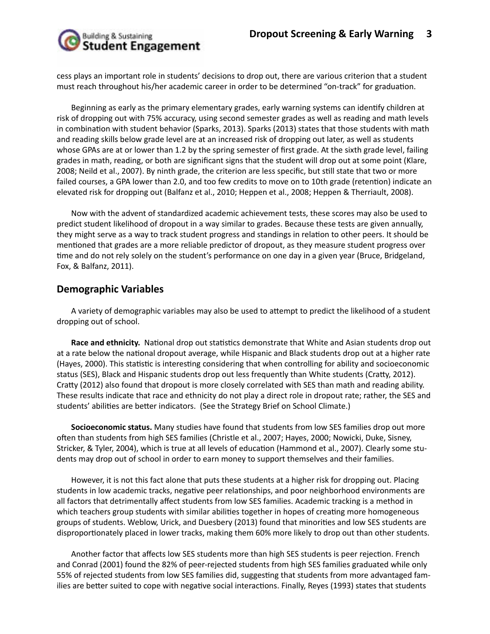

cess plays an important role in students' decisions to drop out, there are various criterion that a student must reach throughout his/her academic career in order to be determined "on-track" for graduation.

Beginning as early as the primary elementary grades, early warning systems can identify children at risk of dropping out with 75% accuracy, using second semester grades as well as reading and math levels in combination with student behavior (Sparks, 2013). Sparks (2013) states that those students with math and reading skills below grade level are at an increased risk of dropping out later, as well as students whose GPAs are at or lower than 1.2 by the spring semester of first grade. At the sixth grade level, failing grades in math, reading, or both are significant signs that the student will drop out at some point (Klare, 2008; Neild et al., 2007). By ninth grade, the criterion are less specific, but still state that two or more failed courses, a GPA lower than 2.0, and too few credits to move on to 10th grade (retention) indicate an elevated risk for dropping out (Balfanz et al., 2010; Heppen et al., 2008; Heppen & Therriault, 2008).

Now with the advent of standardized academic achievement tests, these scores may also be used to predict student likelihood of dropout in a way similar to grades. Because these tests are given annually, they might serve as a way to track student progress and standings in relation to other peers. It should be mentioned that grades are a more reliable predictor of dropout, as they measure student progress over time and do not rely solely on the student's performance on one day in a given year (Bruce, Bridgeland, Fox, & Balfanz, 2011).

### **Demographic Variables**

A variety of demographic variables may also be used to attempt to predict the likelihood of a student dropping out of school.

**Race and ethnicity.** National drop out statistics demonstrate that White and Asian students drop out at a rate below the national dropout average, while Hispanic and Black students drop out at a higher rate (Hayes, 2000). This statistic is interesting considering that when controlling for ability and socioeconomic status (SES), Black and Hispanic students drop out less frequently than White students (Cratty, 2012). Cratty (2012) also found that dropout is more closely correlated with SES than math and reading ability. These results indicate that race and ethnicity do not play a direct role in dropout rate; rather, the SES and students' abilities are better indicators. (See the Strategy Brief on School Climate.)

**Socioeconomic status.** Many studies have found that students from low SES families drop out more often than students from high SES families (Christle et al., 2007; Hayes, 2000; Nowicki, Duke, Sisney, Stricker, & Tyler, 2004), which is true at all levels of education (Hammond et al., 2007). Clearly some students may drop out of school in order to earn money to support themselves and their families.

However, it is not this fact alone that puts these students at a higher risk for dropping out. Placing students in low academic tracks, negative peer relationships, and poor neighborhood environments are all factors that detrimentally affect students from low SES families. Academic tracking is a method in which teachers group students with similar abilities together in hopes of creating more homogeneous groups of students. Weblow, Urick, and Duesbery (2013) found that minorities and low SES students are disproportionately placed in lower tracks, making them 60% more likely to drop out than other students.

Another factor that affects low SES students more than high SES students is peer rejection. French and Conrad (2001) found the 82% of peer-rejected students from high SES families graduated while only 55% of rejected students from low SES families did, suggesting that students from more advantaged families are better suited to cope with negative social interactions. Finally, Reyes (1993) states that students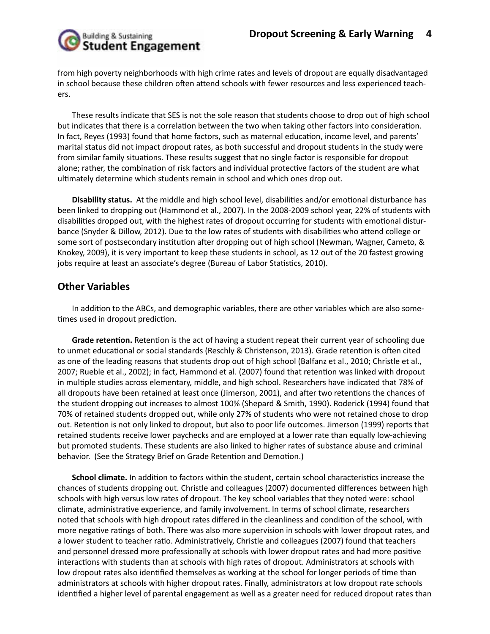

from high poverty neighborhoods with high crime rates and levels of dropout are equally disadvantaged in school because these children often attend schools with fewer resources and less experienced teachers.

These results indicate that SES is not the sole reason that students choose to drop out of high school but indicates that there is a correlation between the two when taking other factors into consideration. In fact, Reyes (1993) found that home factors, such as maternal education, income level, and parents' marital status did not impact dropout rates, as both successful and dropout students in the study were from similar family situations. These results suggest that no single factor is responsible for dropout alone; rather, the combination of risk factors and individual protective factors of the student are what ultimately determine which students remain in school and which ones drop out.

**Disability status.** At the middle and high school level, disabilities and/or emotional disturbance has been linked to dropping out (Hammond et al., 2007). In the 2008-2009 school year, 22% of students with disabilities dropped out, with the highest rates of dropout occurring for students with emotional disturbance (Snyder & Dillow, 2012). Due to the low rates of students with disabilities who attend college or some sort of postsecondary institution after dropping out of high school (Newman, Wagner, Cameto, & Knokey, 2009), it is very important to keep these students in school, as 12 out of the 20 fastest growing jobs require at least an associate's degree (Bureau of Labor Statistics, 2010).

### **Other Variables**

In addition to the ABCs, and demographic variables, there are other variables which are also sometimes used in dropout prediction.

**Grade retention.** Retention is the act of having a student repeat their current year of schooling due to unmet educational or social standards (Reschly & Christenson, 2013). Grade retention is often cited as one of the leading reasons that students drop out of high school (Balfanz et al., 2010; Christle et al., 2007; Rueble et al., 2002); in fact, Hammond et al. (2007) found that retention was linked with dropout in multiple studies across elementary, middle, and high school. Researchers have indicated that 78% of all dropouts have been retained at least once (Jimerson, 2001), and after two retentions the chances of the student dropping out increases to almost 100% (Shepard & Smith, 1990). Roderick (1994) found that 70% of retained students dropped out, while only 27% of students who were not retained chose to drop out. Retention is not only linked to dropout, but also to poor life outcomes. Jimerson (1999) reports that retained students receive lower paychecks and are employed at a lower rate than equally low-achieving but promoted students. These students are also linked to higher rates of substance abuse and criminal behavior. (See the Strategy Brief on Grade Retention and Demotion.)

**School climate.** In addition to factors within the student, certain school characteristics increase the chances of students dropping out. Christle and colleagues (2007) documented differences between high schools with high versus low rates of dropout. The key school variables that they noted were: school climate, administrative experience, and family involvement. In terms of school climate, researchers noted that schools with high dropout rates differed in the cleanliness and condition of the school, with more negative ratings of both. There was also more supervision in schools with lower dropout rates, and a lower student to teacher ratio. Administratively, Christle and colleagues (2007) found that teachers and personnel dressed more professionally at schools with lower dropout rates and had more positive interactions with students than at schools with high rates of dropout. Administrators at schools with low dropout rates also identified themselves as working at the school for longer periods of time than administrators at schools with higher dropout rates. Finally, administrators at low dropout rate schools identified a higher level of parental engagement as well as a greater need for reduced dropout rates than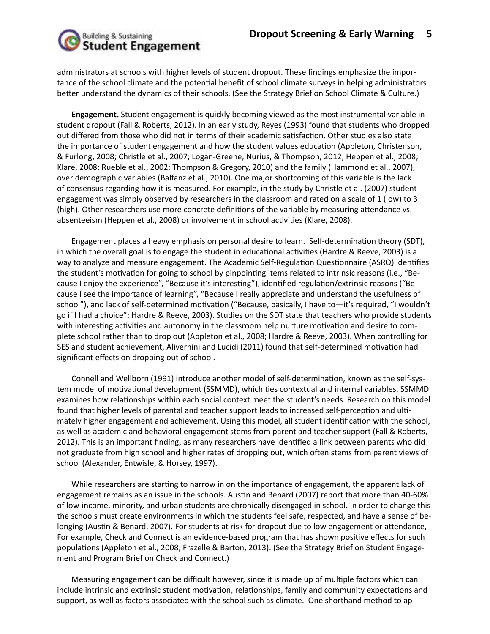

administrators at schools with higher levels of student dropout. These findings emphasize the importance of the school climate and the potential benefit of school climate surveys in helping administrators better understand the dynamics of their schools. (See the Strategy Brief on School Climate & Culture.)

**Engagement.** Student engagement is quickly becoming viewed as the most instrumental variable in student dropout (Fall & Roberts, 2012). In an early study, Reyes (1993) found that students who dropped out differed from those who did not in terms of their academic satisfaction. Other studies also state the importance of student engagement and how the student values education (Appleton, Christenson, & Furlong, 2008; Christle et al., 2007; Logan-Greene, Nurius, & Thompson, 2012; Heppen et al., 2008; Klare, 2008; Rueble et al., 2002; Thompson & Gregory, 2010) and the family (Hammond et al., 2007), over demographic variables (Balfanz et al., 2010). One major shortcoming of this variable is the lack of consensus regarding how it is measured. For example, in the study by Christle et al. (2007) student engagement was simply observed by researchers in the classroom and rated on a scale of 1 (low) to 3 (high). Other researchers use more concrete definitions of the variable by measuring attendance vs. absenteeism (Heppen et al., 2008) or involvement in school activities (Klare, 2008).

Engagement places a heavy emphasis on personal desire to learn. Self-determination theory (SDT), in which the overall goal is to engage the student in educational activities (Hardre & Reeve, 2003) is a way to analyze and measure engagement. The Academic Self-Regulation Questionnaire (ASRQ) identifies the student's motivation for going to school by pinpointing items related to intrinsic reasons (i.e., "Because I enjoy the experience", "Because it's interesting"), identified regulation/extrinsic reasons ("Because I see the importance of learning", "Because I really appreciate and understand the usefulness of school"), and lack of self-determined motivation ("Because, basically, I have to—it's required, "I wouldn't go if I had a choice"; Hardre & Reeve, 2003). Studies on the SDT state that teachers who provide students with interesting activities and autonomy in the classroom help nurture motivation and desire to complete school rather than to drop out (Appleton et al., 2008; Hardre & Reeve, 2003). When controlling for SES and student achievement, Alivernini and Lucidi (2011) found that self-determined motivation had significant effects on dropping out of school.

Connell and Wellborn (1991) introduce another model of self-determination, known as the self-system model of motivational development (SSMMD), which ties contextual and internal variables. SSMMD examines how relationships within each social context meet the student's needs. Research on this model found that higher levels of parental and teacher support leads to increased self-perception and ultimately higher engagement and achievement. Using this model, all student identification with the school, as well as academic and behavioral engagement stems from parent and teacher support (Fall & Roberts, 2012). This is an important finding, as many researchers have identified a link between parents who did not graduate from high school and higher rates of dropping out, which often stems from parent views of school (Alexander, Entwisle, & Horsey, 1997).

While researchers are starting to narrow in on the importance of engagement, the apparent lack of engagement remains as an issue in the schools. Austin and Benard (2007) report that more than 40-60% of low-income, minority, and urban students are chronically disengaged in school. In order to change this the schools must create environments in which the students feel safe, respected, and have a sense of belonging (Austin & Benard, 2007). For students at risk for dropout due to low engagement or attendance, For example, Check and Connect is an evidence-based program that has shown positive effects for such populations (Appleton et al., 2008; Frazelle & Barton, 2013). (See the Strategy Brief on Student Engagement and Program Brief on Check and Connect.)

Measuring engagement can be difficult however, since it is made up of multiple factors which can include intrinsic and extrinsic student motivation, relationships, family and community expectations and support, as well as factors associated with the school such as climate. One shorthand method to ap-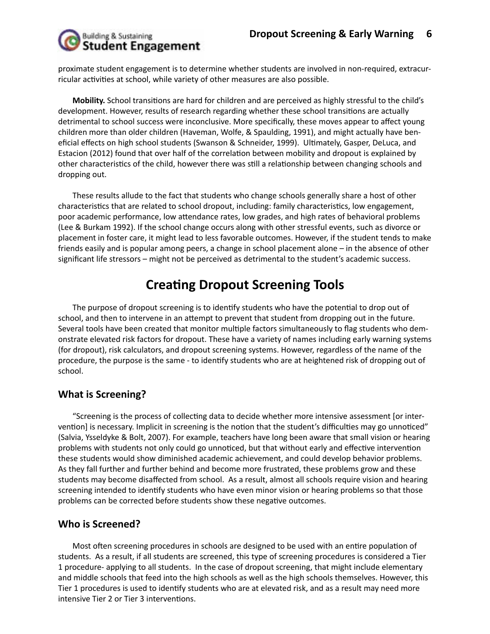

proximate student engagement is to determine whether students are involved in non-required, extracurricular activities at school, while variety of other measures are also possible.

**Mobility.** School transitions are hard for children and are perceived as highly stressful to the child's development. However, results of research regarding whether these school transitions are actually detrimental to school success were inconclusive. More specifically, these moves appear to affect young children more than older children (Haveman, Wolfe, & Spaulding, 1991), and might actually have beneficial effects on high school students (Swanson & Schneider, 1999). Ultimately, Gasper, DeLuca, and Estacion (2012) found that over half of the correlation between mobility and dropout is explained by other characteristics of the child, however there was still a relationship between changing schools and dropping out.

These results allude to the fact that students who change schools generally share a host of other characteristics that are related to school dropout, including: family characteristics, low engagement, poor academic performance, low attendance rates, low grades, and high rates of behavioral problems (Lee & Burkam 1992). If the school change occurs along with other stressful events, such as divorce or placement in foster care, it might lead to less favorable outcomes. However, if the student tends to make friends easily and is popular among peers, a change in school placement alone – in the absence of other significant life stressors – might not be perceived as detrimental to the student's academic success.

# **Creating Dropout Screening Tools**

The purpose of dropout screening is to identify students who have the potential to drop out of school, and then to intervene in an attempt to prevent that student from dropping out in the future. Several tools have been created that monitor multiple factors simultaneously to flag students who demonstrate elevated risk factors for dropout. These have a variety of names including early warning systems (for dropout), risk calculators, and dropout screening systems. However, regardless of the name of the procedure, the purpose is the same - to identify students who are at heightened risk of dropping out of school.

### **What is Screening?**

"Screening is the process of collecting data to decide whether more intensive assessment [or intervention] is necessary. Implicit in screening is the notion that the student's difficulties may go unnoticed" (Salvia, Ysseldyke & Bolt, 2007). For example, teachers have long been aware that small vision or hearing problems with students not only could go unnoticed, but that without early and effective intervention these students would show diminished academic achievement, and could develop behavior problems. As they fall further and further behind and become more frustrated, these problems grow and these students may become disaffected from school. As a result, almost all schools require vision and hearing screening intended to identify students who have even minor vision or hearing problems so that those problems can be corrected before students show these negative outcomes.

### **Who is Screened?**

Most often screening procedures in schools are designed to be used with an entire population of students. As a result, if all students are screened, this type of screening procedures is considered a Tier 1 procedure- applying to all students. In the case of dropout screening, that might include elementary and middle schools that feed into the high schools as well as the high schools themselves. However, this Tier 1 procedures is used to identify students who are at elevated risk, and as a result may need more intensive Tier 2 or Tier 3 interventions.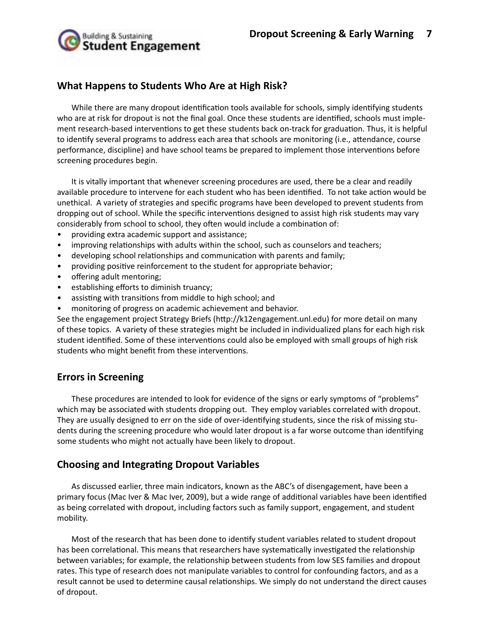

### **What Happens to Students Who Are at High Risk?**

While there are many dropout identification tools available for schools, simply identifying students who are at risk for dropout is not the final goal. Once these students are identified, schools must implement research-based interventions to get these students back on-track for graduation. Thus, it is helpful to identify several programs to address each area that schools are monitoring (i.e., attendance, course performance, discipline) and have school teams be prepared to implement those interventions before screening procedures begin.

It is vitally important that whenever screening procedures are used, there be a clear and readily available procedure to intervene for each student who has been identified. To not take action would be unethical. A variety of strategies and specific programs have been developed to prevent students from dropping out of school. While the specific interventions designed to assist high risk students may vary considerably from school to school, they often would include a combination of:

- providing extra academic support and assistance;
- improving relationships with adults within the school, such as counselors and teachers;
- developing school relationships and communication with parents and family;
- providing positive reinforcement to the student for appropriate behavior;
- offering adult mentoring;
- establishing efforts to diminish truancy;
- assisting with transitions from middle to high school; and
- monitoring of progress on academic achievement and behavior.

See the engagement project Strategy Briefs (http://k12engagement.unl.edu) for more detail on many of these topics. A variety of these strategies might be included in individualized plans for each high risk student identified. Some of these interventions could also be employed with small groups of high risk students who might benefit from these interventions.

### **Errors in Screening**

These procedures are intended to look for evidence of the signs or early symptoms of "problems" which may be associated with students dropping out. They employ variables correlated with dropout. They are usually designed to err on the side of over-identifying students, since the risk of missing students during the screening procedure who would later dropout is a far worse outcome than identifying some students who might not actually have been likely to dropout.

### **Choosing and Integrating Dropout Variables**

As discussed earlier, three main indicators, known as the ABC's of disengagement, have been a primary focus (Mac Iver & Mac Iver, 2009), but a wide range of additional variables have been identified as being correlated with dropout, including factors such as family support, engagement, and student mobility.

Most of the research that has been done to identify student variables related to student dropout has been correlational. This means that researchers have systematically investigated the relationship between variables; for example, the relationship between students from low SES families and dropout rates. This type of research does not manipulate variables to control for confounding factors, and as a result cannot be used to determine causal relationships. We simply do not understand the direct causes of dropout.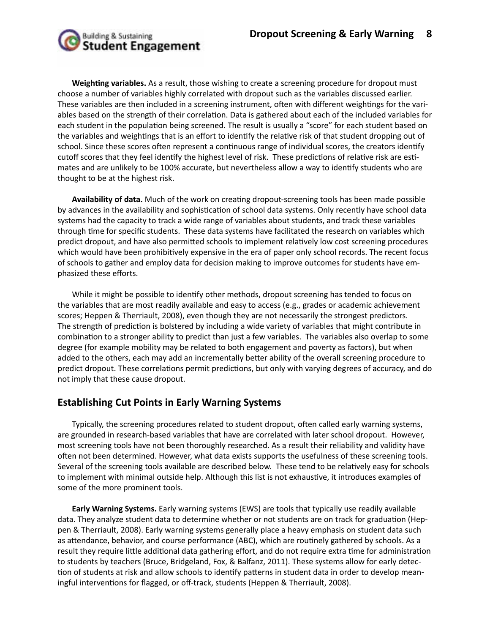

**Weighting variables.** As a result, those wishing to create a screening procedure for dropout must choose a number of variables highly correlated with dropout such as the variables discussed earlier. These variables are then included in a screening instrument, often with different weightings for the variables based on the strength of their correlation. Data is gathered about each of the included variables for each student in the population being screened. The result is usually a "score" for each student based on the variables and weightings that is an effort to identify the relative risk of that student dropping out of school. Since these scores often represent a continuous range of individual scores, the creators identify cutoff scores that they feel identify the highest level of risk. These predictions of relative risk are estimates and are unlikely to be 100% accurate, but nevertheless allow a way to identify students who are thought to be at the highest risk.

**Availability of data.** Much of the work on creating dropout-screening tools has been made possible by advances in the availability and sophistication of school data systems. Only recently have school data systems had the capacity to track a wide range of variables about students, and track these variables through time for specific students. These data systems have facilitated the research on variables which predict dropout, and have also permitted schools to implement relatively low cost screening procedures which would have been prohibitively expensive in the era of paper only school records. The recent focus of schools to gather and employ data for decision making to improve outcomes for students have emphasized these efforts.

While it might be possible to identify other methods, dropout screening has tended to focus on the variables that are most readily available and easy to access (e.g., grades or academic achievement scores; Heppen & Therriault, 2008), even though they are not necessarily the strongest predictors. The strength of prediction is bolstered by including a wide variety of variables that might contribute in combination to a stronger ability to predict than just a few variables. The variables also overlap to some degree (for example mobility may be related to both engagement and poverty as factors), but when added to the others, each may add an incrementally better ability of the overall screening procedure to predict dropout. These correlations permit predictions, but only with varying degrees of accuracy, and do not imply that these cause dropout.

### **Establishing Cut Points in Early Warning Systems**

Typically, the screening procedures related to student dropout, often called early warning systems, are grounded in research-based variables that have are correlated with later school dropout. However, most screening tools have not been thoroughly researched. As a result their reliability and validity have often not been determined. However, what data exists supports the usefulness of these screening tools. Several of the screening tools available are described below. These tend to be relatively easy for schools to implement with minimal outside help. Although this list is not exhaustive, it introduces examples of some of the more prominent tools.

**Early Warning Systems.** Early warning systems (EWS) are tools that typically use readily available data. They analyze student data to determine whether or not students are on track for graduation (Heppen & Therriault, 2008). Early warning systems generally place a heavy emphasis on student data such as attendance, behavior, and course performance (ABC), which are routinely gathered by schools. As a result they require little additional data gathering effort, and do not require extra time for administration to students by teachers (Bruce, Bridgeland, Fox, & Balfanz, 2011). These systems allow for early detection of students at risk and allow schools to identify patterns in student data in order to develop meaningful interventions for flagged, or off-track, students (Heppen & Therriault, 2008).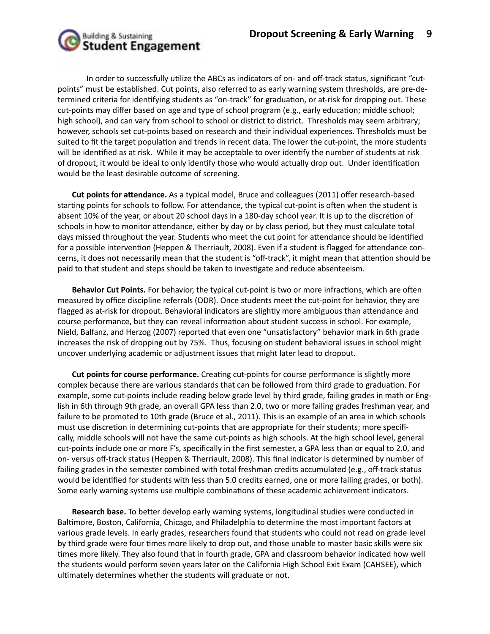

In order to successfully utilize the ABCs as indicators of on- and off-track status, significant "cutpoints" must be established. Cut points, also referred to as early warning system thresholds, are pre-determined criteria for identifying students as "on-track" for graduation, or at-risk for dropping out. These cut-points may differ based on age and type of school program (e.g., early education; middle school; high school), and can vary from school to school or district to district. Thresholds may seem arbitrary; however, schools set cut-points based on research and their individual experiences. Thresholds must be suited to fit the target population and trends in recent data. The lower the cut-point, the more students will be identified as at risk. While it may be acceptable to over identify the number of students at risk of dropout, it would be ideal to only identify those who would actually drop out. Under identification would be the least desirable outcome of screening.

**Cut points for attendance.** As a typical model, Bruce and colleagues (2011) offer research-based starting points for schools to follow. For attendance, the typical cut-point is often when the student is absent 10% of the year, or about 20 school days in a 180-day school year. It is up to the discretion of schools in how to monitor attendance, either by day or by class period, but they must calculate total days missed throughout the year. Students who meet the cut point for attendance should be identified for a possible intervention (Heppen & Therriault, 2008). Even if a student is flagged for attendance concerns, it does not necessarily mean that the student is "off-track", it might mean that attention should be paid to that student and steps should be taken to investigate and reduce absenteeism.

**Behavior Cut Points.** For behavior, the typical cut-point is two or more infractions, which are often measured by office discipline referrals (ODR). Once students meet the cut-point for behavior, they are flagged as at-risk for dropout. Behavioral indicators are slightly more ambiguous than attendance and course performance, but they can reveal information about student success in school. For example, Nield, Balfanz, and Herzog (2007) reported that even one "unsatisfactory" behavior mark in 6th grade increases the risk of dropping out by 75%. Thus, focusing on student behavioral issues in school might uncover underlying academic or adjustment issues that might later lead to dropout.

**Cut points for course performance.** Creating cut-points for course performance is slightly more complex because there are various standards that can be followed from third grade to graduation. For example, some cut-points include reading below grade level by third grade, failing grades in math or English in 6th through 9th grade, an overall GPA less than 2.0, two or more failing grades freshman year, and failure to be promoted to 10th grade (Bruce et al., 2011). This is an example of an area in which schools must use discretion in determining cut-points that are appropriate for their students; more specifically, middle schools will not have the same cut-points as high schools. At the high school level, general cut-points include one or more F's, specifically in the first semester, a GPA less than or equal to 2.0, and on- versus off-track status (Heppen & Therriault, 2008). This final indicator is determined by number of failing grades in the semester combined with total freshman credits accumulated (e.g., off-track status would be identified for students with less than 5.0 credits earned, one or more failing grades, or both). Some early warning systems use multiple combinations of these academic achievement indicators.

**Research base.** To better develop early warning systems, longitudinal studies were conducted in Baltimore, Boston, California, Chicago, and Philadelphia to determine the most important factors at various grade levels. In early grades, researchers found that students who could not read on grade level by third grade were four times more likely to drop out, and those unable to master basic skills were six times more likely. They also found that in fourth grade, GPA and classroom behavior indicated how well the students would perform seven years later on the California High School Exit Exam (CAHSEE), which ultimately determines whether the students will graduate or not.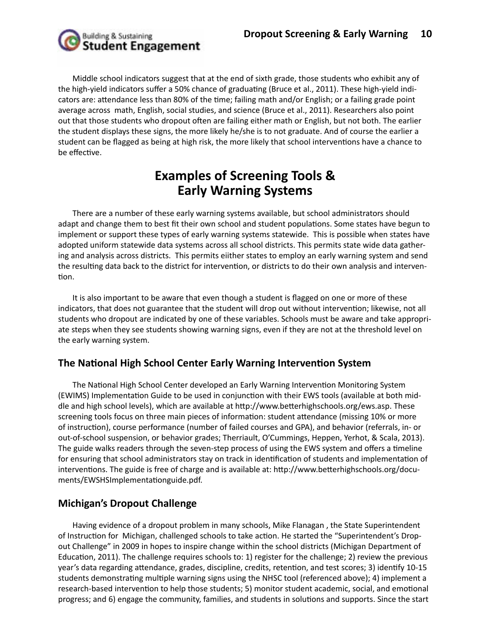

Middle school indicators suggest that at the end of sixth grade, those students who exhibit any of the high-yield indicators suffer a 50% chance of graduating (Bruce et al., 2011). These high-yield indicators are: attendance less than 80% of the time; failing math and/or English; or a failing grade point average across math, English, social studies, and science (Bruce et al., 2011). Researchers also point out that those students who dropout often are failing either math or English, but not both. The earlier the student displays these signs, the more likely he/she is to not graduate. And of course the earlier a student can be flagged as being at high risk, the more likely that school interventions have a chance to be effective.

## **Examples of Screening Tools & Early Warning Systems**

There are a number of these early warning systems available, but school administrators should adapt and change them to best fit their own school and student populations. Some states have begun to implement or support these types of early warning systems statewide. This is possible when states have adopted uniform statewide data systems across all school districts. This permits state wide data gathering and analysis across districts. This permits eiither states to employ an early warning system and send the resulting data back to the district for intervention, or districts to do their own analysis and intervention.

It is also important to be aware that even though a student is flagged on one or more of these indicators, that does not guarantee that the student will drop out without intervention; likewise, not all students who dropout are indicated by one of these variables. Schools must be aware and take appropriate steps when they see students showing warning signs, even if they are not at the threshold level on the early warning system.

### **The National High School Center Early Warning Intervention System**

The National High School Center developed an Early Warning Intervention Monitoring System (EWIMS) Implementation Guide to be used in conjunction with their EWS tools (available at both middle and high school levels), which are available at http://www.betterhighschools.org/ews.asp. These screening tools focus on three main pieces of information: student attendance (missing 10% or more of instruction), course performance (number of failed courses and GPA), and behavior (referrals, in- or out-of-school suspension, or behavior grades; Therriault, O'Cummings, Heppen, Yerhot, & Scala, 2013). The guide walks readers through the seven-step process of using the EWS system and offers a timeline for ensuring that school administrators stay on track in identification of students and implementation of interventions. The guide is free of charge and is available at: http://www.betterhighschools.org/documents/EWSHSImplementationguide.pdf.

### **Michigan's Dropout Challenge**

Having evidence of a dropout problem in many schools, Mike Flanagan , the State Superintendent of Instruction for Michigan, challenged schools to take action. He started the "Superintendent's Dropout Challenge" in 2009 in hopes to inspire change within the school districts (Michigan Department of Education, 2011). The challenge requires schools to: 1) register for the challenge; 2) review the previous year's data regarding attendance, grades, discipline, credits, retention, and test scores; 3) identify 10-15 students demonstrating multiple warning signs using the NHSC tool (referenced above); 4) implement a research-based intervention to help those students; 5) monitor student academic, social, and emotional progress; and 6) engage the community, families, and students in solutions and supports. Since the start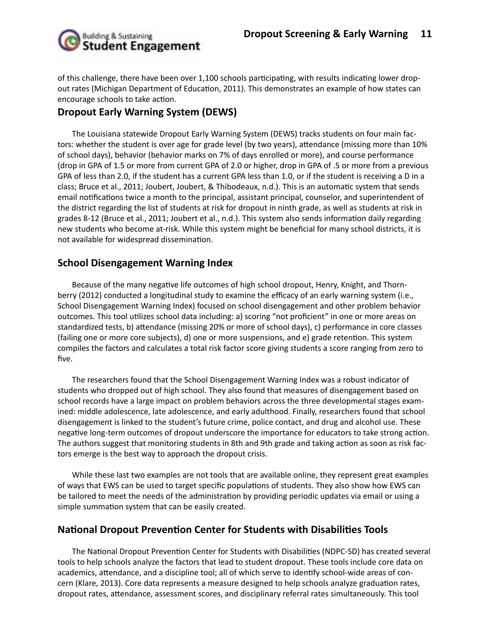

of this challenge, there have been over 1,100 schools participating, with results indicating lower dropout rates (Michigan Department of Education, 2011). This demonstrates an example of how states can encourage schools to take action.

### **Dropout Early Warning System (DEWS)**

The Louisiana statewide Dropout Early Warning System (DEWS) tracks students on four main factors: whether the student is over age for grade level (by two years), attendance (missing more than 10% of school days), behavior (behavior marks on 7% of days enrolled or more), and course performance (drop in GPA of 1.5 or more from current GPA of 2.0 or higher, drop in GPA of .5 or more from a previous GPA of less than 2.0, if the student has a current GPA less than 1.0, or if the student is receiving a D in a class; Bruce et al., 2011; Joubert, Joubert, & Thibodeaux, n.d.). This is an automatic system that sends email notifications twice a month to the principal, assistant principal, counselor, and superintendent of the district regarding the list of students at risk for dropout in ninth grade, as well as students at risk in grades 8-12 (Bruce et al., 2011; Joubert et al., n.d.). This system also sends information daily regarding new students who become at-risk. While this system might be beneficial for many school districts, it is not available for widespread dissemination.

### **School Disengagement Warning Index**

Because of the many negative life outcomes of high school dropout, Henry, Knight, and Thornberry (2012) conducted a longitudinal study to examine the efficacy of an early warning system (i.e., School Disengagement Warning Index) focused on school disengagement and other problem behavior outcomes. This tool utilizes school data including: a) scoring "not proficient" in one or more areas on standardized tests, b) attendance (missing 20% or more of school days), c) performance in core classes (failing one or more core subjects), d) one or more suspensions, and e) grade retention. This system compiles the factors and calculates a total risk factor score giving students a score ranging from zero to five.

The researchers found that the School Disengagement Warning Index was a robust indicator of students who dropped out of high school. They also found that measures of disengagement based on school records have a large impact on problem behaviors across the three developmental stages examined: middle adolescence, late adolescence, and early adulthood. Finally, researchers found that school disengagement is linked to the student's future crime, police contact, and drug and alcohol use. These negative long-term outcomes of dropout underscore the importance for educators to take strong action. The authors suggest that monitoring students in 8th and 9th grade and taking action as soon as risk factors emerge is the best way to approach the dropout crisis.

While these last two examples are not tools that are available online, they represent great examples of ways that EWS can be used to target specific populations of students. They also show how EWS can be tailored to meet the needs of the administration by providing periodic updates via email or using a simple summation system that can be easily created.

### **National Dropout Prevention Center for Students with Disabilities Tools**

The National Dropout Prevention Center for Students with Disabilities (NDPC-SD) has created several tools to help schools analyze the factors that lead to student dropout. These tools include core data on academics, attendance, and a discipline tool; all of which serve to identify school-wide areas of concern (Klare, 2013). Core data represents a measure designed to help schools analyze graduation rates, dropout rates, attendance, assessment scores, and disciplinary referral rates simultaneously. This tool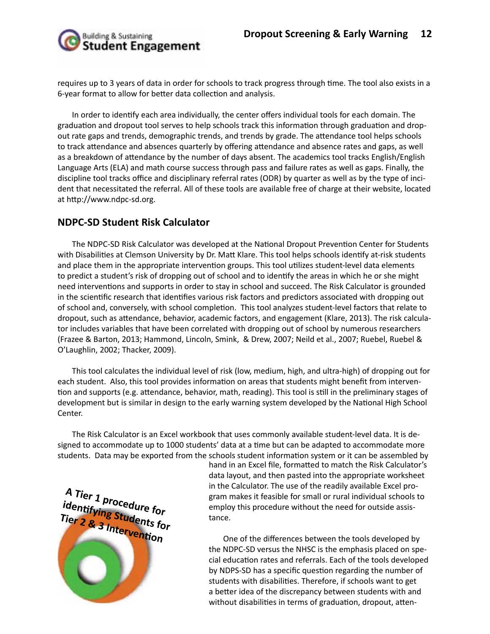

requires up to 3 years of data in order for schools to track progress through time. The tool also exists in a 6-year format to allow for better data collection and analysis.

In order to identify each area individually, the center offers individual tools for each domain. The graduation and dropout tool serves to help schools track this information through graduation and dropout rate gaps and trends, demographic trends, and trends by grade. The attendance tool helps schools to track attendance and absences quarterly by offering attendance and absence rates and gaps, as well as a breakdown of attendance by the number of days absent. The academics tool tracks English/English Language Arts (ELA) and math course success through pass and failure rates as well as gaps. Finally, the discipline tool tracks office and disciplinary referral rates (ODR) by quarter as well as by the type of incident that necessitated the referral. All of these tools are available free of charge at their website, located at http://www.ndpc-sd.org.

### **NDPC-SD Student Risk Calculator**

The NDPC-SD Risk Calculator was developed at the National Dropout Prevention Center for Students with Disabilities at Clemson University by Dr. Matt Klare. This tool helps schools identify at-risk students and place them in the appropriate intervention groups. This tool utilizes student-level data elements to predict a student's risk of dropping out of school and to identify the areas in which he or she might need interventions and supports in order to stay in school and succeed. The Risk Calculator is grounded in the scientific research that identifies various risk factors and predictors associated with dropping out of school and, conversely, with school completion. This tool analyzes student-level factors that relate to dropout, such as attendance, behavior, academic factors, and engagement (Klare, 2013). The risk calculator includes variables that have been correlated with dropping out of school by numerous researchers (Frazee & Barton, 2013; Hammond, Lincoln, Smink, & Drew, 2007; Neild et al., 2007; Ruebel, Ruebel & O'Laughlin, 2002; Thacker, 2009).

This tool calculates the individual level of risk (low, medium, high, and ultra-high) of dropping out for each student. Also, this tool provides information on areas that students might benefit from intervention and supports (e.g. attendance, behavior, math, reading). This tool is still in the preliminary stages of development but is similar in design to the early warning system developed by the National High School Center.

The Risk Calculator is an Excel workbook that uses commonly available student-level data. It is designed to accommodate up to 1000 students' data at a time but can be adapted to accommodate more students. Data may be exported from the schools student information system or it can be assembled by



hand in an Excel file, formatted to match the Risk Calculator's data layout, and then pasted into the appropriate worksheet in the Calculator. The use of the readily available Excel program makes it feasible for small or rural individual schools to employ this procedure without the need for outside assistance.

One of the differences between the tools developed by the NDPC-SD versus the NHSC is the emphasis placed on special education rates and referrals. Each of the tools developed by NDPS-SD has a specific question regarding the number of students with disabilities. Therefore, if schools want to get a better idea of the discrepancy between students with and without disabilities in terms of graduation, dropout, atten-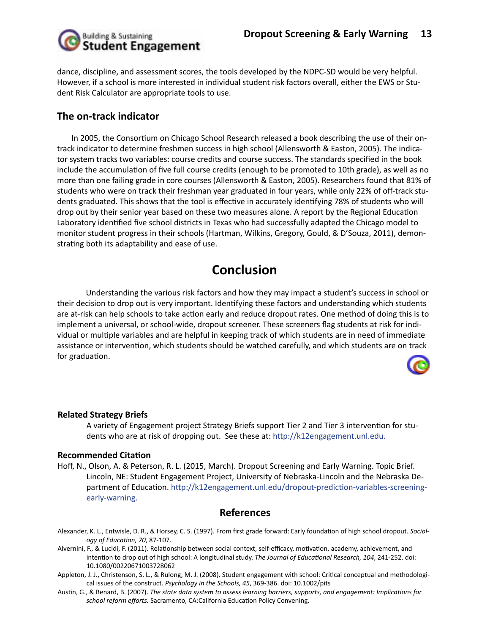

dance, discipline, and assessment scores, the tools developed by the NDPC-SD would be very helpful. However, if a school is more interested in individual student risk factors overall, either the EWS or Student Risk Calculator are appropriate tools to use.

### **The on-track indicator**

In 2005, the Consortium on Chicago School Research released a book describing the use of their ontrack indicator to determine freshmen success in high school (Allensworth & Easton, 2005). The indicator system tracks two variables: course credits and course success. The standards specified in the book include the accumulation of five full course credits (enough to be promoted to 10th grade), as well as no more than one failing grade in core courses (Allensworth & Easton, 2005). Researchers found that 81% of students who were on track their freshman year graduated in four years, while only 22% of off-track students graduated. This shows that the tool is effective in accurately identifying 78% of students who will drop out by their senior year based on these two measures alone. A report by the Regional Education Laboratory identified five school districts in Texas who had successfully adapted the Chicago model to monitor student progress in their schools (Hartman, Wilkins, Gregory, Gould, & D'Souza, 2011), demonstrating both its adaptability and ease of use.

## **Conclusion**

Understanding the various risk factors and how they may impact a student's success in school or their decision to drop out is very important. Identifying these factors and understanding which students are at-risk can help schools to take action early and reduce dropout rates. One method of doing this is to implement a universal, or school-wide, dropout screener. These screeners flag students at risk for individual or multiple variables and are helpful in keeping track of which students are in need of immediate assistance or intervention, which students should be watched carefully, and which students are on track for graduation.



#### **Related Strategy Briefs**

A variety of Engagement project Strategy Briefs support Tier 2 and Tier 3 intervention for students who are at risk of dropping out. See these at: http://k12engagement.unl.edu.

#### **Recommended Citation**

Hoff, N., Olson, A. & Peterson, R. L. (2015, March). Dropout Screening and Early Warning. Topic Brief. Lincoln, NE: Student Engagement Project, University of Nebraska-Lincoln and the Nebraska Department of Education. http://k12engagement.unl.edu/dropout-prediction-variables-screeningearly-warning.

### **References**

- Alexander, K. L., Entwisle, D. R., & Horsey, C. S. (1997). From first grade forward: Early foundation of high school dropout. *Sociology of Education, 70*, 87-107.
- Alvernini, F., & Lucidi, F. (2011). Relationship between social context, self-efficacy, motivation, academy, achievement, and intention to drop out of high school: A longitudinal study. *The Journal of Educational Research, 104*, 241-252. doi: 10.1080/00220671003728062
- Appleton, J. J., Christenson, S. L., & Rulong, M. J. (2008). Student engagement with school: Critical conceptual and methodological issues of the construct. *Psychology in the Schools, 45*, 369-386. doi: 10.1002/pits
- Austin, G., & Benard, B. (2007). *The state data system to assess learning barriers, supports, and engagement: Implications for school reform efforts.* Sacramento, CA:California Education Policy Convening.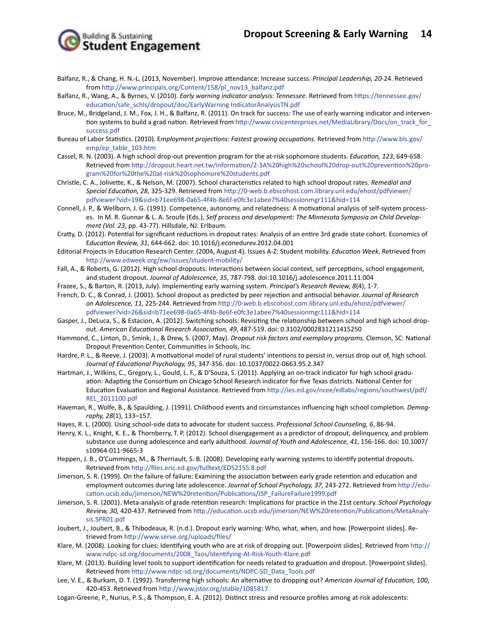**Building & Sustaining<br>Student Engagement** 

- Balfanz, R., & Chang, H. N.-L. (2013, November). Improve attendance: Increase success. *Principal Leadership, 20*-24. Retrieved from http://www.principals.org/Content/158/pl\_nov13\_balfanz.pdf
- Balfanz, R., Wang, A., & Byrnes, V. (2010). *Early warning indicator analysis: Tennessee.* Retrieved from https://tennessee.gov/ education/safe\_schls/dropout/doc/EarlyWarning IndicatorAnalysisTN.pdf
- Bruce, M., Bridgeland, J. M., Fox, J. H., & Balfanz, R. (2011). On track for success: The use of early warning indicator and intervention systems to build a grad nation. Retrieved from http://www.civicenterprises.net/MediaLibrary/Docs/on\_track\_for\_ success.pdf
- Bureau of Labor Statistics. (2010). E*mployment projections: Fastest growing occupations.* Retrieved from http://www.bls.gov/ emp/ep\_table\_103.htm
- Cassel, R. N. (2003). A high school drop-out prevention program for the at-risk sophomore students. *Education, 123*, 649-658. Retrieved from http://dropout.heart.net.tw/information/2-3A%20high%20school%20drop-out%20prevention%20program%20for%20the%20at-risk%20sophomore%20students.pdf
- Christle, C. A., Jolivette, K., & Nelson, M. (2007). School characteristics related to high school dropout rates. *Remedial and Special Education, 28*, 325-329. Retrieved from http://0-web.b.ebscohost.com.library.unl.edu/ehost/pdfviewer/ pdfviewer?vid=19&sid=b71ee698-0a65-4f4b-8e6f-e0fc3e1abee7%40sessionmgr111&hid=114
- Connell, J. P., & Wellborn, J. G. (1991). Competence, autonomy, and relatedness: A motivational analysis of self-system processes. In M. R. Gunnar & L. A. Sroufe (Eds.), *Self process and development: The Minnesota Symposia on Child Development (Vol. 23*, pp. 43-77). Hillsdale, NJ: Erlbaum.
- Cratty, D. (2012). Potential for significant reductions in dropout rates: Analysis of an entire 3rd grade state cohort. Economics of E*ducation Review, 31*, 644-662. doi: 10.1016/j.econedurev.2012.04.001
- Editorial Projects in Education Research Center. (2004, August 4). Issues A-Z: Student mobility. *Education Week*. Retrieved from http://www.edweek.org/ew/issues/student-mobility/
- Fall, A., & Roberts, G. (2012). High school dropouts: Interactions between social context, self perceptions, school engagement, and student dropout. *Journal of Adolescence, 35*, 787-798. doi:10.1016/j.adolescence.2011.11.004
- Frazee, S., & Barton, R. (2013, July). Implementing early warning system. *Principal's Research Review, 8*(4), 1-7.
- French, D. C., & Conrad, J. (2001). School dropout as predicted by peer rejection and antisocial behavior. *Journal of Research on Adolescence, 11*, 225-244. Retrieved from http://0-web.b.ebscohost.com.library.unl.edu/ehost/pdfviewer/ pdfviewer?vid=26&sid=b71ee698-0a65-4f4b-8e6f-e0fc3e1abee7%40sessionmgr111&hid=114
- Gasper, J., DeLuca, S., & Estacion, A. (2012). Switching schools: Revisiting the relationship between school and high school dropout. *American Educational Research Association, 49*, 487-519. doi: 0.3102/0002831211415250
- Hammond, C., Linton, D., Smink, J., & Drew, S. (2007, May). *Dropout risk factors and exemplary programs.* Clemson, SC: National Dropout Prevention Center, Communities in Schools, Inc.
- Hardre, P. L., & Reeve, J. (2003). A motivational model of rural students' intentions to persist in, versus drop out of, high school. *Journal of Educational Psychology, 95*, 347-356. doi: 10.1037/0022-0663.95.2.347
- Hartman, J., Wilkins, C., Gregory, L., Gould, L. F., & D'Souza, S. (2011). Applying an on-track indicator for high school graduation: Adapting the Consortium on Chicago School Research indicator for five Texas districts. National Center for Education Evaluation and Regional Assistance. Retrieved from http://ies.ed.gov/ncee/edlabs/regions/southwest/pdf/ REL\_2011100.pdf
- Haveman, R., Wolfe, B., & Spaulding, J. (1991). Childhood events and circumstances influencing high school completion. *Demography, 28*(1), 133–157.
- Hayes, R. L. (2000). Using school-side data to advocate for student success. *Professional School Counseling, 6*, 86-94.
- Henry, K. L., Knight, K. E., & Thornberry, T. P. (2012). School disengagement as a predictor of dropout, delinquency, and problem substance use during adolescence and early adulthood. *Journal of Youth and Adolescence, 41*, 156-166. doi: 10.1007/ s10964-011-9665-3
- Heppen, J. B., O'Cummings, M., & Therriault, S. B. (2008). Developing early warning systems to identify potential dropouts. Retrieved from http://files.eric.ed.gov/fulltext/ED52155 8.pdf
- Jimerson, S. R. (1999). On the failure of failure: Examining the association between early grade retention and education and employment outcomes during late adolescence. *Journal of School Psychology, 37,* 243-272. Retrieved from http://education.ucsb.edu/jimerson/NEW%20retention/Publications/JSP\_FailureFailure1999.pdf
- Jimerson, S. R. (2001). Meta-analysis of grade retention research: Implications for practice in the 21st century. *School Psychology Review, 30,* 420-437. Retrieved from http://education.ucsb.edu/jimerson/NEW%20retention/Publications/MetaAnalysis.SPR01.pdf
- Joubert, J., Joubert, B., & Thibodeaux, R. (n.d.). Dropout early warning: Who, what, when, and how. [Powerpoint slides]. Retrieved from http://www.serve.org/uploads/files/
- Klare, M. (2008). Looking for clues: Identifying youth who are at risk of dropping out. [Powerpoint slides]. Retrieved from http:// www.ndpc-sd.org/documents/2008\_Taos/Identifying-At-Risk-Youth-Klare.pdf
- Klare, M. (2013). Building level tools to support identification for needs related to graduation and dropout. [Powerpoint slides]. Retrieved from http://www.ndpc-sd.org/documents/NDPC-SD\_Data\_Tools.pdf
- Lee, V. E., & Burkam, D. T. (1992). Transferring high schools: An alternative to dropping out? *American Journal of Education, 100*, 420-453. Retrieved from http://www.jstor.org/stable/1085817.
- Logan-Greene, P., Nurius, P. S., & Thompson, E. A. (2012). Distinct stress and resource profiles among at-risk adolescents: